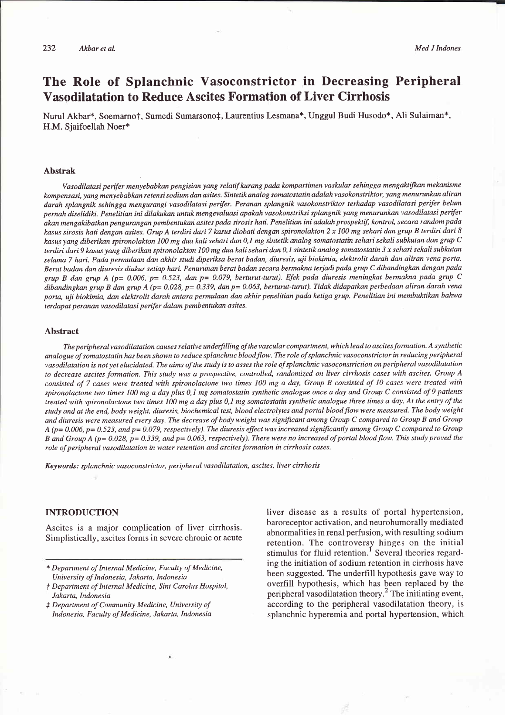# The Role of Splanchnic Vasoconstrictor in Decreasing Peripheral Vasodilatation to Reduce Ascites Formation of Liver Cirrhosis

Nurul Akbar\*, Soemarno†, Sumedi Sumarsono‡, Laurentius Lesmana\*, Unggul Budi Husodo\*, Ali Sulaiman\*, H.M. Sjaifoellah Noer\*

#### Abstrak

Vasodilatasi perifer menyebabkan pengisian yang relatif kurang pada kompartimen vaskular sehingga mengaktifkan mekanisme kompensasi, yang menyebabkan retensi sodium dan asites. Sintetik analog somatostatin adalahvasokonstrtktor, yang menurunkan aliran darah splangnik sehingga mengurangi vasodilatasi perifer. Peranan splangnik vasokonstriktor terhadap vasodilatasi perifer belum pernah diselidiki. Penelitian ini dilakukan untuk mengevaluasi apakah vasokonstriksi splangnik yang menurunkan vasodilatasi perifer akan mengakibatkan pengurangan pembentukan asites pada sirosis hati. Penelitian ini adalah prospektif, kontrol, secara random pada kasus sirosis hati dengan asites. Grup A terdiri dari 7 kasus diobati dengan spironolakton 2 x 100 mg sehari dan grup B terdiri dari 8 kasus yang diberikan spironolakton 100 mg dua kali sehari dan 0,1 mg sintetik analog somatostatin sehari sekali subkutan dan grup C terdiri dari 9 kasus yang diberikan spironolakton 100 mg dua kali sehari dan 0,1 sintetik analog somatostatin 3 x sehari sekali subkutan selama 7 hari. Pada permulaan dan akhir studi diperiksa berat badan, diuresis, uji biokimia, elektrolit darah dan aliran vena porta. Berat badan dan diuresis diukur setiap hari. Penurunan berat badan secara bermakna terjadi pada grup C dibandingkan dengan pada grup B dan grup A (p= 0.006, p= 0.523, dan p= 0.079, berturut-turut). Efek pada diuresis meningkat bermakna pada grup C dibandingkan grup B dan grup A (p= 0.028, p= 0.339, dan p= 0.063, berturut-turut). Tidak didapatkan perbedaan aliran darah vena porta, uji biokimia, dan elektrolit darah antara permulaan dan akhir penelitian pada ketiga grup. Penelitian ini membuktikan bahwa terdapat peranan vasodilatasi perifer dalam pembentukan asites.

#### Abstract

The peripheral vasodilatation causes relative underfilling of the vascular compartment, which lead to ascites formation. A synthetic analogue of somatostatin has been shown to reduce splanchnic bloodflow. The role of splanchnic vasoconstictor in reducing peripheral vasodilatation is not yet elucidated. The aims ofthe study is to asses the rolc of splanchnic vasoconstriction onperipheralvasodilatation to decrease ascites formation. This study was a prospective, controlled, randomized on liver cirrhosis cases with ascites. Group A consisted of 7 cases were treated with spironolactone two times 100 mg a day, Group B consisted of 10 cases were treated with spironolactone two times 100 mg a day plus 0,1 mg somatostatin synthetic analogue once a day and Group C consisted of 9 patients treated with spironolactone two times  $100$  mg a day plus  $0,1$  mg somatostatin synthetic analogue three times a day. At the entry of the study and at the end, body weight, diuresis, biochemical test, blood electrolytes and portal bloodflow were measured. The body weight and diuresis were measured every day. The decrease ofbody weight was significant among Group C compared to Group B and Group  $A$  (p= 0.006, p= 0.523, and p= 0.079, respectively). The diuresis effect was increased significantly among Group C compared to Group B and Group A ( $p= 0.028$ ,  $p= 0.339$ , and  $p= 0.063$ , respectively). There were no increased of portal blood flow. This study proved the role of peripheral vasodilatation in water retention and ascites formation in cirrhosis cases.

Keywords: splanchnic vasoconstrictor, peripheral vasodilatation, ascites, liver cirrhosis

## INTRODUCTION

Ascites is a major complication of liver cirrhosis. Simplistically, ascites forms in severe chronic or acute liver disease as a results of portal hypertension, baroreceptor activation, and neurohumorally mediated abnormalities in renal perfusion, with resulting sodium retention. The controversy hinges on the initial stimulus for fluid retention.<sup>1</sup> Several theories regarding the initiation of sodium retention in cirrhosis have been suggested. The underfill hypothesis gave way to overfill hypothesis, which has been replaced by the peripheral vasodilatation theory.<sup>2</sup> The initiating event, according to the peripheral vasodilatation theory, is splanchnic hyperemia and portal hypertension, which

<sup>\*</sup> Department of Intemal Medicine, Faculty of Medicine, University of Indonesia, Jakarta, Indonesia

f Department of Intemal Medicine, Sint Carolus Hospital, Jakarta, Indonesia

 $\ddagger$  Department of Community Medicine, University of Indonesia, Faculty of Medicine, Jakarta, Indonesia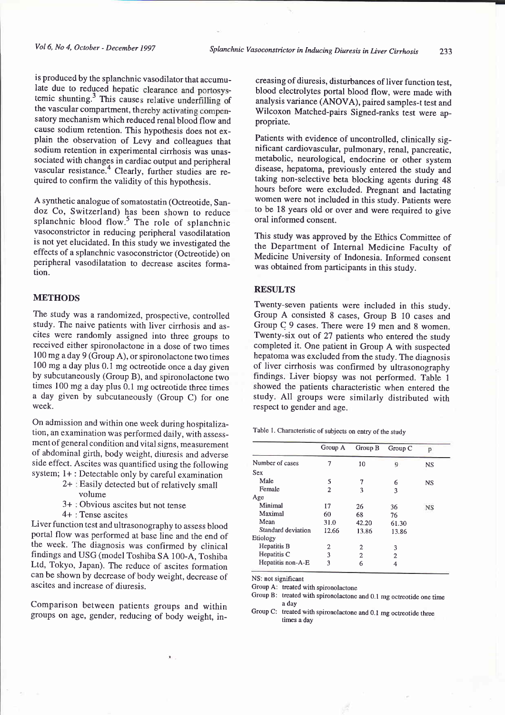is produced by the splanchnic vasodilator that accumulate due to reduced hepatic clearance and portosystemic shunting. $3$  This causes relative underfilling of the vascular compartment, thereby activating compensatory mechanism which reduced renal blood flow and cause sodium retention. This hypothesis does not explain the observation of Levy and colleagues that sodium retention in experimental cirrhosis was unassociated with changes in cardiac output and peripheral vascular resistance.<sup>4</sup> Clearly, further studies are required to confirm the validity of this hypothesis.

A synthetic analogue of somatostatin (Octreotide, Sandoz Co, Switzerland) has been shown to reduce splanchnic blood flow.<sup>5</sup> The role of splanchnic vasoconstrictor in reducing peripheral vasodilatation is not yet elucidated. In this study we investigated the effects of a splanchnic vasoconstrictor (Octreotide) on peripheral vasodilatation to decrease ascites formation.

#### METHODS

The study was a randomized, prospective, controlled study. The naive patients with liver cirrhosis and ascites were randomly assigned into three groups to received either spironolactone in a dose of two times 100 mg aday 9 (Group A), or spironolactone two times 100 mg a day plus 0.1 mg octreotide once a day given by subcutaneously (Group B), and spironolactone two times 100 mg a day plus 0.1 mg octreotide three times a day given by subcutaneously (Group C) for one week.

On admission and within one week during hospitalization, an examination was performed daily, with assessment of general condition and vital signs, measurement of abdominal girth, body weight, diuresis and adverse side effect. Ascites was quantified using the following system; 1+ : Detectable only by careful examination

- 2+ Easily detected but of relatively small volume
- 3+ Obvious ascites but not tense
- 4+ Tense ascites

Liver function test and ultrasonography to assess blood portal flow was performed at base line and the end of the week. The diagnosis was confirmed by clinical findings and USG (model Toshiba SA 100-A, Toshiba Ltd, Tokyo, Japan). The reduce of ascites formation can be shown by decrease of body weight, decrease of ascites and increase of diuresis.

Comparison between patients groups and within groups on age, gender, reducing of body weight, in-

creasing of diuresis, disturbances of liver function test, blood electrolytes portal blood flow, were made with analysis variance (ANOVA), paired samples-t test and Wilcoxon Matched-pairs Signed-ranks test were appropriate.

Patients with evidence of uncontrolled, clinically significant cardiovascular, pulmonary, renal, pancreatic, metabolic, neurological, endocrine or other system disease, hepatoma, previously entered the study and taking non-selective beta blocking agents during 48 hours before were excluded. Pregnant and lactating women were not included in this study. patients were to be 18 years old or over and were required to give oral informed consent.

This study was approved by the Ethics Committee of the Department of Internal Medicine Faculty of Medicine University of Indonesia. Informed consent was obtained from participants in this study.

# RESULTS

Twenty-seven patients were included in this study. Group A consisted 8 cases, Group B 10 cases and Group C 9 cases. There were 19 men and 8 women. Twenty-six out of 27 patients who entered the study completed it. One patient in Group A with suspected hepatoma was excluded from the study. The diagnosis of liver cirrhosis was confirmed by ultrasonography findings. Liver biopsy was not performed. Table I showed the patients characteristic when entered the study. All groups were similarly distributed with respect to gender and age.

Table l. Characteristic of subjects on entry of the study

|                    | Group A        | Group B        | Group C | D         |
|--------------------|----------------|----------------|---------|-----------|
| Number of cases    | 7              | 10             | 9       | <b>NS</b> |
| <b>Sex</b>         |                |                |         |           |
| Male               | 5              | 7              | 6       | <b>NS</b> |
| Female             | $\overline{2}$ | 3              | 3       |           |
| Age                |                |                |         |           |
| Minimal            | 17             | 26             | 36      | NS        |
| Maximal            | 60             | 68             | 76      |           |
| Mean               | 31.0           | 42.20          | 61.30   |           |
| Standard deviation | 12.66          | 13.86          | 13.86   |           |
| Etiology           |                |                |         |           |
| Hepatitis B        | 2              | $\overline{2}$ | 3       |           |
| Hepatitis C        | 3              | $\overline{2}$ | 2       |           |
| Hepatitis non-A-E  | ٩              | 6              | 4       |           |

NS: not significant

Group A: treated with spironolactone

Group B: treated with spironolactone and 0.1 mg octreotide one time a day

Group C: treated with spironolactone and 0.1 mg octreotide three times a day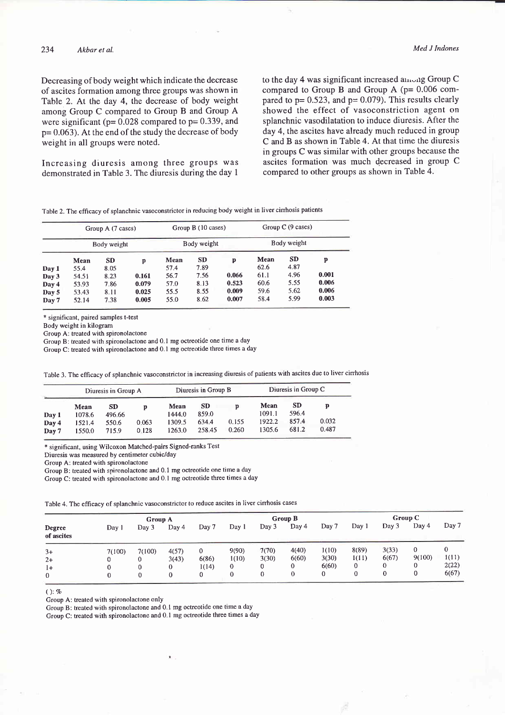Decreasing of body weight which indicate the decrease of ascites formation among three groups was shown in Table 2. At the day 4, the decrease of body weight among Group C compared to Group B and Group A were significant ( $p= 0.028$  compared to  $p= 0.339$ , and p= 0.063). At the end of the study the decrease of body weight in all groups were noted.

Increasing diuresis among three groups was demonstrated in Table 3. The diuresis during the day I

to the day 4 was significant increased among Group C compared to Group B and Group A (p= 0.006 compared to  $p = 0.523$ , and  $p = 0.079$ ). This results clearly showed the effect of vasoconstriction agent on splanchnic vasodilatation to induce diuresis. After the day 4, the ascites have already much reduced in group C and B as shown in Table 4. At that time the diuresis in groups C was similar with other groups because the ascites formation was much decreased in group <sup>C</sup> compared to other groups as shown in Table 4.

Table 2. The efficacy of splanchnic vasoconstrictor in reducing body weight in liver cinhosis patients

|       | Group A (7 cases)<br>Body weight |           |       |      | Group B (10 cases) |       | Group $C(9 \text{ cases})$ |           |       |  |
|-------|----------------------------------|-----------|-------|------|--------------------|-------|----------------------------|-----------|-------|--|
|       |                                  |           |       |      | Body weight        |       | Body weight                |           |       |  |
|       | Mean                             | <b>SD</b> | p     | Mean | <b>SD</b>          | p     | Mean                       | <b>SD</b> | P     |  |
| Day 1 | 55.4                             | 8.05      |       | 57.4 | 7.89               |       | 62.6                       | 4.87      |       |  |
| Day 3 | 54.51                            | 8.23      | 0.161 | 56.7 | 7.56               | 0.066 | 61.1                       | 4.96      | 0.001 |  |
| Day 4 | 53.93                            | 7.86      | 0.079 | 57.0 | 8.13               | 0.523 | 60.6                       | 5.55      | 0.006 |  |
| Day 5 | 53.43                            | 8.11      | 0.025 | 55.5 | 8.55               | 0.009 | 59.6                       | 5.62      | 0.006 |  |
| Day 7 | 52.14                            | 7.38      | 0.005 | 55.0 | 8.62               | 0.007 | 58.4                       | 5.99      | 0.003 |  |

\* significant, paired samples t-test

Body weight in kilogram

Group A: treated with spironolactone

Group B: treated with spironolactone and 0.1 mg octreotide one time a day

Group C: treated with spironolactone and 0.1 mg octreotide three times a day

Table 3. The efficacy of splanchnic vasoconstrictor in increasing diuresis of patients with ascites due to liver cirrhosis

|                | Diuresis in Group A |                     |                |                  | Diuresis in Group B |                | Diuresis in Group C |                    |                |  |
|----------------|---------------------|---------------------|----------------|------------------|---------------------|----------------|---------------------|--------------------|----------------|--|
| Day 1          | Mean<br>1078.6      | <b>SD</b><br>496.66 | D              | Mean<br>1444.0   | <b>SD</b><br>859.0  | D.             | Mean<br>1091.1      | <b>SD</b><br>596.4 |                |  |
| Day 4<br>Day 7 | 1521.4<br>1550.0    | 550.6<br>715.9      | 0.063<br>0.128 | 1309.5<br>1263.0 | 634.4<br>258.45     | 0.155<br>0.260 | 1922.2<br>1305.6    | 857.4<br>681.2     | 0.032<br>0.487 |  |

\* significant, using Wilcoxon Matched-Pairs Signed-ranks Test

Diuresis was measured by centimeter cubic/day

Group A: treated with spironolactone

Group B: treated with spironolactone and 0. I mg octreotide one time a day

Group C: treated with spironolactone and 0.1 mg octreotide three times a day

Table 4. The efficacy of splanchnic vasoconstrictor to reduce ascites in liver cirrhosis cases

|                      |        | Group B          |       |              |              | Group C  |       |       |       |       |        |       |
|----------------------|--------|------------------|-------|--------------|--------------|----------|-------|-------|-------|-------|--------|-------|
| Degree<br>of ascites | Day 1  | Group A<br>Dav 3 | Day 4 | Day 7        | Day 1        | Day 3    | Day 4 | Day 7 | Day 1 | Day 3 | Day 4  | Day 7 |
| $3+$                 | 7(100) | 7(100)           | 4(57) | $\mathbf{0}$ | 9(90)        | 7(70)    | 4(40) | 1(10) | 8(89) | 3(33) | 0      | 0     |
| $2+$                 |        |                  | 3(43) | 6(86)        | 1(10)        | 3(30)    | 6(60) | 3(30) | 1(11) | 6(67) | 9(100) | 1(11) |
| l+                   |        |                  | 0     | 1(14)        | $\mathbf{0}$ |          | 0     | 6(60) | 0     |       | 0      | 2(22) |
| 0                    |        |                  |       |              |              | $\theta$ | 0     |       | 0     |       | 0      | 6(67) |

 $()$ : %

Group A: treated with spironolactone only

Group B: treated with spironolactone and 0.1 mg octreotide one time a day

Group C: treated with spironolactone and 0. I mg octreotide three times a day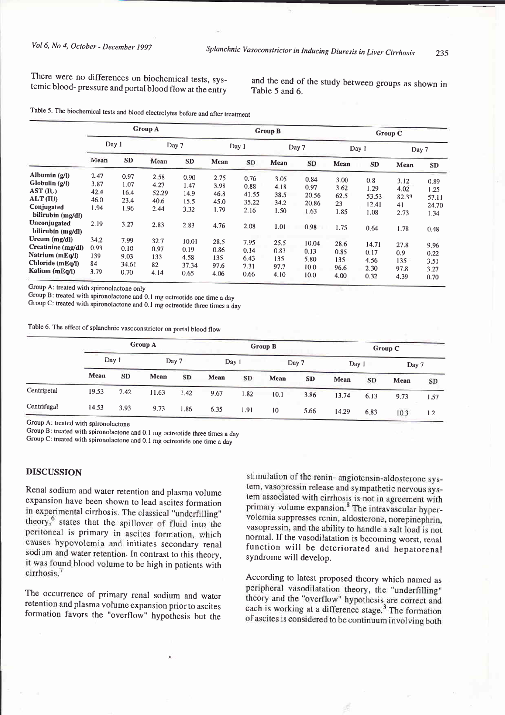There were no differences on biochemical tests, systemic blood-pressure and portal blood flow at the entry

and the end of the study between groups as shown in Table 5 and 6.

|  | 2. The biochemical tests and blood electrolytes before and after treatment |  |  |  |  |  |
|--|----------------------------------------------------------------------------|--|--|--|--|--|
|--|----------------------------------------------------------------------------|--|--|--|--|--|

|                                                                                                                                   | <b>Group A</b>                               |                                              |                                               |                                              |                                              |                                                | <b>Group B</b>                               |                                                | Group C                                    |                                               |                                             |                                                |  |
|-----------------------------------------------------------------------------------------------------------------------------------|----------------------------------------------|----------------------------------------------|-----------------------------------------------|----------------------------------------------|----------------------------------------------|------------------------------------------------|----------------------------------------------|------------------------------------------------|--------------------------------------------|-----------------------------------------------|---------------------------------------------|------------------------------------------------|--|
|                                                                                                                                   | Day 1                                        |                                              | Day 7                                         |                                              | Day 1                                        |                                                | Day 7                                        |                                                | Day 1                                      |                                               | Day 7                                       |                                                |  |
|                                                                                                                                   | Mean                                         | <b>SD</b>                                    | Mean                                          | <b>SD</b>                                    | Mean                                         | SD                                             | Mean                                         | <b>SD</b>                                      | Mean                                       | <b>SD</b>                                     | Mean                                        | SD                                             |  |
| Albumin $(g/l)$<br>Globulin (g/l)<br>AST (IU)<br>ALT (IU)<br>Conjugated<br>bilirubin (mg/dl)<br>Unconjugated<br>bilirubin (mg/dl) | 2.47<br>3.87<br>42.4<br>46.0<br>1.94<br>2.19 | 0.97<br>1.07<br>16.4<br>23.4<br>1.96<br>3.27 | 2.58<br>4.27<br>52.29<br>40.6<br>2.44<br>2.83 | 0.90<br>1.47<br>14.9<br>15.5<br>3.32<br>2.83 | 2.75<br>3.98<br>46.8<br>45.0<br>1.79<br>4.76 | 0.76<br>0.88<br>41.55<br>35.22<br>2.16<br>2.08 | 3.05<br>4.18<br>38.5<br>34.2<br>1.50<br>1.01 | 0.84<br>0.97<br>20.56<br>20.86<br>1.63<br>0.98 | 3.00<br>3.62<br>62.5<br>23<br>1.85<br>1.75 | 0.8<br>1.29<br>53.53<br>12.41<br>1.08<br>0.64 | 3.12<br>4.02<br>82.33<br>41<br>2.73<br>1.78 | 0.89<br>1.25<br>57.11<br>24.70<br>1.34<br>0.48 |  |
| Ureum $(mg/dl)$<br>Creatinine (mg/dl)<br>Natrium (mEq/l)<br>Chloride (mEq/l)<br>Kalium (mEq/l)                                    | 34.2<br>0.93<br>139<br>84<br>3.79            | 7.99<br>0.10<br>9.03<br>34.61<br>0.70        | 32.7<br>0.97<br>133<br>82<br>4.14             | 10.01<br>0.19<br>4.58<br>37.34<br>0.65       | 28.5<br>0.86<br>135<br>97.6<br>4.06          | 7.95<br>0.14<br>6.43<br>7.31<br>0.66           | 25.5<br>0.83<br>135<br>97.7<br>4.10          | 10.04<br>0.13<br>5.80<br>10.0<br>10.0          | 28.6<br>0.85<br>135<br>96.6<br>4.00        | 14.71<br>0.17<br>4.56<br>2.30<br>0.32         | 27.8<br>0.9<br>135<br>97.8<br>4.39          | 9.96<br>0.22<br>3.51<br>3.27<br>0.70           |  |

Group A: treated with spironolactone only

Group B: treated with spironolactone and 0.1 mg octreotide one time a day

Group C: treated with spironolactone and 0.1 mg octreotide three times a day

Table 6. The effect of splanchnic vasoconstrictor on portal blood flow

|             | <b>Group A</b> |           |       |      |       |      | Group B |           | Group C |      |       |      |  |
|-------------|----------------|-----------|-------|------|-------|------|---------|-----------|---------|------|-------|------|--|
|             | Day 1          |           | Day 7 |      | Day 1 |      | Day 7   |           | Day 1   |      | Day 7 |      |  |
|             | Mean           | <b>SD</b> | Mean  | SD   | Mean  | SD   | Mean    | <b>SD</b> | Mean    | SD   | Mean  | SD   |  |
| Centripetal | 19.53          | 7.42      | 11.63 | 1.42 | 9.67  | 1.82 | 10.1    | 3.86      | 13.74   | 6.13 | 9.73  | 1.57 |  |
| Centrifugal | 14.53          | 3.93      | 9.73  | 1.86 | 6.35  | 1.91 | 10      | 5.66      | 14.29   | 6.83 | 10.3  | 1.2  |  |

Group A: treated with spironolactone

Group B: treated with spironolactone and 0.1 mg octreotide three times a day

Group C: treated with spironolactone and 0.1 mg octreotide one time a day

# **DISCUSSION**

Renal sodium and water retention and plasma volume expansion have been shown to lead ascites formation in experimental cirrhosis. The classical "underfilling" theory,<sup>6</sup> states that the spillover of fluid into the peritoneal is primary in ascites formation, which causes hypovolemia and initiates secondary renal sodium and water retention. In contrast to this theory, it was found blood volume to be high in patients with  $cirrhosis.<sup>7</sup>$ 

The occurrence of primary renal sodium and water retention and plasma volume expansion prior to ascites formation favors the "overflow" hypothesis but the

stimulation of the renin- angiotensin-aldosterone system, vasopressin release and sympathetic nervous system associated with cirrhosis is not in agreement with primary volume expansion.<sup>8</sup> The intravascular hypervolemia suppresses renin, aldosterone, norepinephrin, vasopressin, and the ability to handle a salt load is not normal. If the vasodilatation is becoming worst, renal function will be deteriorated and hepatorenal syndrome will develop.

According to latest proposed theory which named as peripheral vasodilatation theory, the "underfilling" theory and the "overflow" hypothesis are correct and each is working at a difference stage.<sup>3</sup> The formation of ascites is considered to be continuum involving both